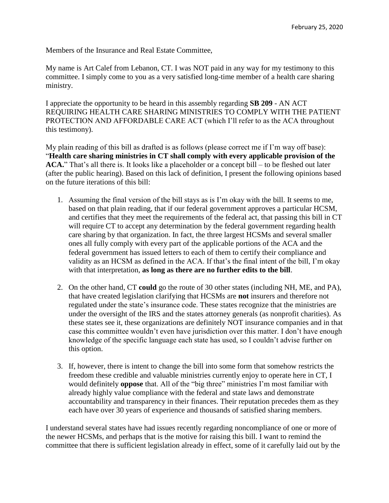Members of the Insurance and Real Estate Committee,

My name is Art Calef from Lebanon, CT. I was NOT paid in any way for my testimony to this committee. I simply come to you as a very satisfied long-time member of a health care sharing ministry.

I appreciate the opportunity to be heard in this assembly regarding **SB 209** - AN ACT REQUIRING HEALTH CARE SHARING MINISTRIES TO COMPLY WITH THE PATIENT PROTECTION AND AFFORDABLE CARE ACT (which I'll refer to as the ACA throughout this testimony).

My plain reading of this bill as drafted is as follows (please correct me if I'm way off base): "**Health care sharing ministries in CT shall comply with every applicable provision of the ACA.**" That's all there is. It looks like a placeholder or a concept bill – to be fleshed out later (after the public hearing). Based on this lack of definition, I present the following opinions based on the future iterations of this bill:

- 1. Assuming the final version of the bill stays as is I'm okay with the bill. It seems to me, based on that plain reading, that if our federal government approves a particular HCSM, and certifies that they meet the requirements of the federal act, that passing this bill in CT will require CT to accept any determination by the federal government regarding health care sharing by that organization. In fact, the three largest HCSMs and several smaller ones all fully comply with every part of the applicable portions of the ACA and the federal government has issued letters to each of them to certify their compliance and validity as an HCSM as defined in the ACA. If that's the final intent of the bill, I'm okay with that interpretation, **as long as there are no further edits to the bill**.
- 2. On the other hand, CT **could** go the route of 30 other states (including NH, ME, and PA), that have created legislation clarifying that HCSMs are **not** insurers and therefore not regulated under the state's insurance code. These states recognize that the ministries are under the oversight of the IRS and the states attorney generals (as nonprofit charities). As these states see it, these organizations are definitely NOT insurance companies and in that case this committee wouldn't even have jurisdiction over this matter. I don't have enough knowledge of the specific language each state has used, so I couldn't advise further on this option.
- 3. If, however, there is intent to change the bill into some form that somehow restricts the freedom these credible and valuable ministries currently enjoy to operate here in CT, I would definitely **oppose** that. All of the "big three" ministries I'm most familiar with already highly value compliance with the federal and state laws and demonstrate accountability and transparency in their finances. Their reputation precedes them as they each have over 30 years of experience and thousands of satisfied sharing members.

I understand several states have had issues recently regarding noncompliance of one or more of the newer HCSMs, and perhaps that is the motive for raising this bill. I want to remind the committee that there is sufficient legislation already in effect, some of it carefully laid out by the